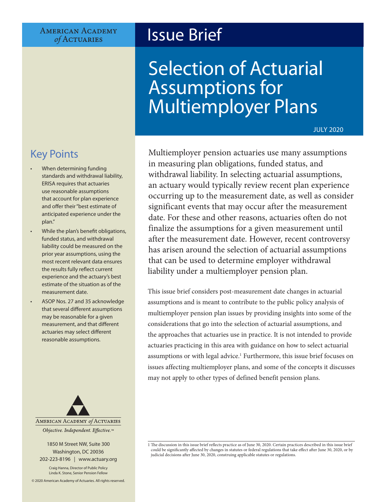#### **AMERICAN ACADEMY** of ACTUARIES

## Issue Brief

# Selection of Actuarial Assumptions for Multiemployer Plans

JULY 2020

## Key Points

- When determining funding standards and withdrawal liability, ERISA requires that actuaries use reasonable assumptions that account for plan experience and offer their "best estimate of anticipated experience under the plan."
- While the plan's benefit obligations, funded status, and withdrawal liability could be measured on the prior year assumptions, using the most recent relevant data ensures the results fully reflect current experience and the actuary's best estimate of the situation as of the measurement date.
- ASOP Nos. 27 and 35 acknowledge that several different assumptions may be reasonable for a given measurement, and that different actuaries may select different reasonable assumptions.



1850 M Street NW, Suite 300 Washington, DC 20036 202-223-8196 | [www.actuary.org](http://actuary.org)

Craig Hanna, Director of Public Policy Linda K. Stone, Senior Pension Fellow

© 2020 American Academy of Actuaries. All rights reserved.

Multiemployer pension actuaries use many assumptions in measuring plan obligations, funded status, and withdrawal liability. In selecting actuarial assumptions, an actuary would typically review recent plan experience occurring up to the measurement date, as well as consider significant events that may occur after the measurement date. For these and other reasons, actuaries often do not finalize the assumptions for a given measurement until after the measurement date. However, recent controversy has arisen around the selection of actuarial assumptions that can be used to determine employer withdrawal liability under a multiemployer pension plan.

This issue brief considers post-measurement date changes in actuarial assumptions and is meant to contribute to the public policy analysis of multiemployer pension plan issues by providing insights into some of the considerations that go into the selection of actuarial assumptions, and the approaches that actuaries use in practice. It is not intended to provide actuaries practicing in this area with guidance on how to select actuarial assumptions or with legal advice.<sup>1</sup> Furthermore, this issue brief focuses on issues affecting multiemployer plans, and some of the concepts it discusses may not apply to other types of defined benefit pension plans.

<sup>1</sup> The discussion in this issue brief reflects practice as of June 30, 2020. Certain practices described in this issue brief could be significantly affected by changes in statutes or federal regulations that take effect after June 30, 2020, or by judicial decisions after June 30, 2020, construing applicable statutes or regulations.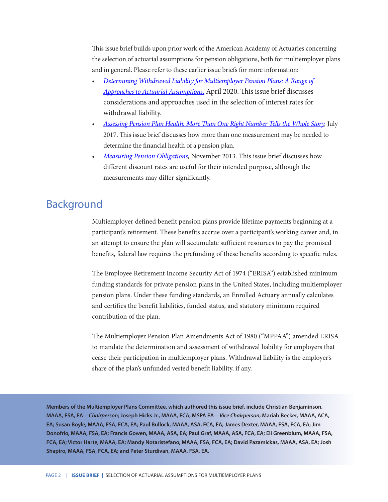This issue brief builds upon prior work of the American Academy of Actuaries concerning the selection of actuarial assumptions for pension obligations, both for multiemployer plans and in general. Please refer to these earlier issue briefs for more information:

- *[Determining Withdrawal Liability for Multiemployer Pension Plans: A Range of](https://www.actuary.org/sites/default/files/2020-04/Withdrawal_Liability.pdf)  [Approaches to Actuarial Assumptions,](https://www.actuary.org/sites/default/files/2020-04/Withdrawal_Liability.pdf)* April 2020. This issue brief discusses considerations and approaches used in the selection of interest rates for withdrawal liability.
- *[Assessing Pension Plan Health: More Than One Right Number Tells the Whole Story,](https://www.actuary.org/sites/default/files/files/publications/IB-RightNumber07.17.pdf)* July 2017. This issue brief discusses how more than one measurement may be needed to determine the financial health of a pension plan.
- *[Measuring Pension Obligations,](https://www.actuary.org/sites/default/files/files/IB_Measuring-Pension-Obligations_Nov-21-2013.pdf)* November 2013. This issue brief discusses how different discount rates are useful for their intended purpose, although the measurements may differ significantly.

### Background

Multiemployer defined benefit pension plans provide lifetime payments beginning at a participant's retirement. These benefits accrue over a participant's working career and, in an attempt to ensure the plan will accumulate sufficient resources to pay the promised benefits, federal law requires the prefunding of these benefits according to specific rules.

The Employee Retirement Income Security Act of 1974 ("ERISA") established minimum funding standards for private pension plans in the United States, including multiemployer pension plans. Under these funding standards, an Enrolled Actuary annually calculates and certifies the benefit liabilities, funded status, and statutory minimum required contribution of the plan.

The Multiemployer Pension Plan Amendments Act of 1980 ("MPPAA") amended ERISA to mandate the determination and assessment of withdrawal liability for employers that cease their participation in multiemployer plans. Withdrawal liability is the employer's share of the plan's unfunded vested benefit liability, if any.

**Members of the Multiemployer Plans Committee, which authored this issue brief, include Christian Benjaminson, MAAA, FSA, EA—***Chairperson***; Joseph Hicks Jr., MAAA, FCA, MSPA EA—***Vice Chairperson***; Mariah Becker, MAAA, ACA, EA; Susan Boyle, MAAA, FSA, FCA, EA; Paul Bullock, MAAA, ASA, FCA, EA; James Dexter, MAAA, FSA, FCA, EA; Jim Donofrio, MAAA, FSA, EA; Francis Gowen, MAAA, ASA, EA; Paul Graf, MAAA, ASA, FCA, EA; Eli Greenblum, MAAA, FSA, FCA, EA; Victor Harte, MAAA, EA; Mandy Notaristefano, MAAA, FSA, FCA, EA; David Pazamickas, MAAA, ASA, EA; Josh Shapiro, MAAA, FSA, FCA, EA; and Peter Sturdivan, MAAA, FSA, EA.**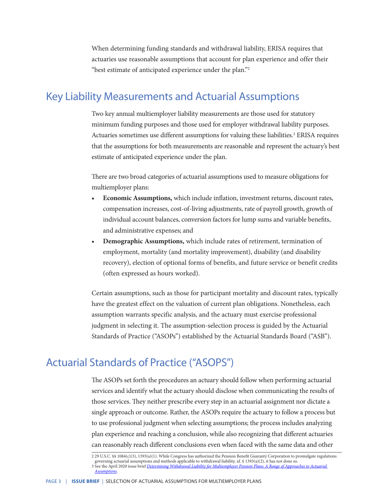When determining funding standards and withdrawal liability, ERISA requires that actuaries use reasonable assumptions that account for plan experience and offer their "best estimate of anticipated experience under the plan."2

## Key Liability Measurements and Actuarial Assumptions

Two key annual multiemployer liability measurements are those used for statutory minimum funding purposes and those used for employer withdrawal liability purposes. Actuaries sometimes use different assumptions for valuing these liabilities.<sup>3</sup> ERISA requires that the assumptions for both measurements are reasonable and represent the actuary's best estimate of anticipated experience under the plan.

There are two broad categories of actuarial assumptions used to measure obligations for multiemployer plans:

- **• Economic Assumptions,** which include inflation, investment returns, discount rates, compensation increases, cost-of-living adjustments, rate of payroll growth, growth of individual account balances, conversion factors for lump sums and variable benefits, and administrative expenses; and
- **• Demographic Assumptions,** which include rates of retirement, termination of employment, mortality (and mortality improvement), disability (and disability recovery), election of optional forms of benefits, and future service or benefit credits (often expressed as hours worked).

Certain assumptions, such as those for participant mortality and discount rates, typically have the greatest effect on the valuation of current plan obligations. Nonetheless, each assumption warrants specific analysis, and the actuary must exercise professional judgment in selecting it. The assumption-selection process is guided by the Actuarial Standards of Practice ("ASOPs") established by the Actuarial Standards Board ("ASB").

## Actuarial Standards of Practice ("ASOPS")

The ASOPs set forth the procedures an actuary should follow when performing actuarial services and identify what the actuary should disclose when communicating the results of those services. They neither prescribe every step in an actuarial assignment nor dictate a single approach or outcome. Rather, the ASOPs require the actuary to follow a process but to use professional judgment when selecting assumptions; the process includes analyzing plan experience and reaching a conclusion, while also recognizing that different actuaries can reasonably reach different conclusions even when faced with the same data and other

<sup>2 29</sup> U.S.C. §§ 1084(c)(3), 1393(a)(1). While Congress has authorized the Pension Benefit Guaranty Corporation to promulgate regulations governing actuarial assumptions and methods applicable to withdrawal liability, *id.* § 1393(a)(2), it has not done so. 3 See the April 2020 issue brief *[Determining Withdrawal Liability for Multiemployer Pension Plans: A Range of Approaches to Actuarial](https://www.actuary.org/sites/default/files/2020-04/Withdrawal_Liability.pdf)  [Assumptions](https://www.actuary.org/sites/default/files/2020-04/Withdrawal_Liability.pdf)*.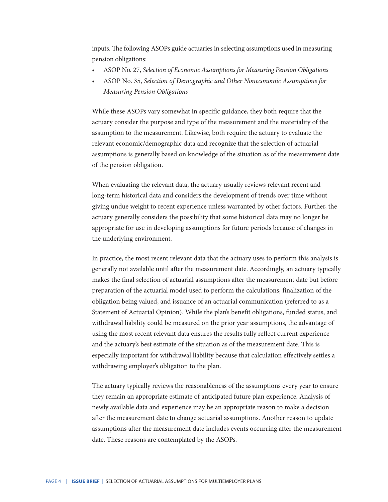inputs. The following ASOPs guide actuaries in selecting assumptions used in measuring pension obligations:

- ASOP No. 27, *Selection of Economic Assumptions for Measuring Pension Obligations*
- ASOP No. 35, *Selection of Demographic and Other Noneconomic Assumptions for Measuring Pension Obligations*

While these ASOPs vary somewhat in specific guidance, they both require that the actuary consider the purpose and type of the measurement and the materiality of the assumption to the measurement. Likewise, both require the actuary to evaluate the relevant economic/demographic data and recognize that the selection of actuarial assumptions is generally based on knowledge of the situation as of the measurement date of the pension obligation.

When evaluating the relevant data, the actuary usually reviews relevant recent and long-term historical data and considers the development of trends over time without giving undue weight to recent experience unless warranted by other factors. Further, the actuary generally considers the possibility that some historical data may no longer be appropriate for use in developing assumptions for future periods because of changes in the underlying environment.

In practice, the most recent relevant data that the actuary uses to perform this analysis is generally not available until after the measurement date. Accordingly, an actuary typically makes the final selection of actuarial assumptions after the measurement date but before preparation of the actuarial model used to perform the calculations, finalization of the obligation being valued, and issuance of an actuarial communication (referred to as a Statement of Actuarial Opinion). While the plan's benefit obligations, funded status, and withdrawal liability could be measured on the prior year assumptions, the advantage of using the most recent relevant data ensures the results fully reflect current experience and the actuary's best estimate of the situation as of the measurement date. This is especially important for withdrawal liability because that calculation effectively settles a withdrawing employer's obligation to the plan.

The actuary typically reviews the reasonableness of the assumptions every year to ensure they remain an appropriate estimate of anticipated future plan experience. Analysis of newly available data and experience may be an appropriate reason to make a decision after the measurement date to change actuarial assumptions. Another reason to update assumptions after the measurement date includes events occurring after the measurement date. These reasons are contemplated by the ASOPs.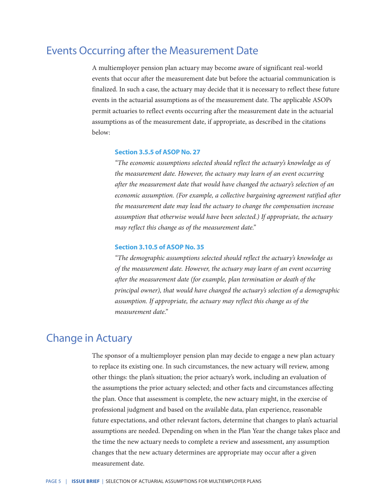### Events Occurring after the Measurement Date

A multiemployer pension plan actuary may become aware of significant real-world events that occur after the measurement date but before the actuarial communication is finalized. In such a case, the actuary may decide that it is necessary to reflect these future events in the actuarial assumptions as of the measurement date. The applicable ASOPs permit actuaries to reflect events occurring after the measurement date in the actuarial assumptions as of the measurement date, if appropriate, as described in the citations below:

#### **Section 3.5.5 of ASOP No. 27**

 *"The economic assumptions selected should reflect the actuary's knowledge as of the measurement date. However, the actuary may learn of an event occurring after the measurement date that would have changed the actuary's selection of an*  economic assumption. (For example, a collective bargaining agreement ratified after *the measurement date may lead the actuary to change the compensation increase assumption that otherwise would have been selected.) If appropriate, the actuary may reflect this change as of the measurement date."*

#### **Section 3.10.5 of ASOP No. 35**

 *"The demographic assumptions selected should reflect the actuary's knowledge as of the measurement date. However, the actuary may learn of an event occurring after the measurement date (for example, plan termination or death of the principal owner), that would have changed the actuary's selection of a demographic assumption. If appropriate, the actuary may reflect this change as of the measurement date."*

#### Change in Actuary

The sponsor of a multiemployer pension plan may decide to engage a new plan actuary to replace its existing one. In such circumstances, the new actuary will review, among other things: the plan's situation; the prior actuary's work, including an evaluation of the assumptions the prior actuary selected; and other facts and circumstances affecting the plan. Once that assessment is complete, the new actuary might, in the exercise of professional judgment and based on the available data, plan experience, reasonable future expectations, and other relevant factors, determine that changes to plan's actuarial assumptions are needed. Depending on when in the Plan Year the change takes place and the time the new actuary needs to complete a review and assessment, any assumption changes that the new actuary determines are appropriate may occur after a given measurement date.